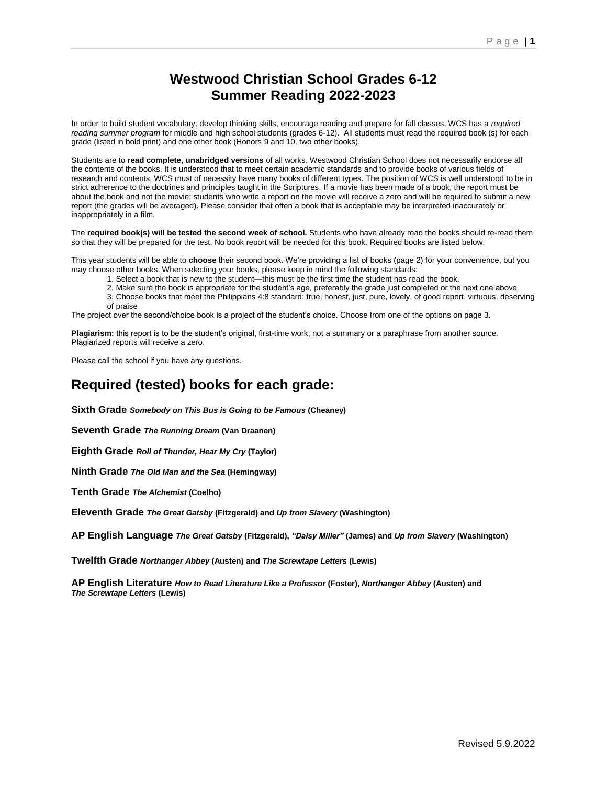# **Westwood Christian School Grades 6-12 Summer Reading 2022-2023**

In order to build student vocabulary, develop thinking skills, encourage reading and prepare for fall classes, WCS has a *required reading summer program* for middle and high school students (grades 6-12). All students must read the required book (s) for each grade (listed in bold print) and one other book (Honors 9 and 10, two other books).

Students are to **read complete, unabridged versions** of all works. Westwood Christian School does not necessarily endorse all the contents of the books. It is understood that to meet certain academic standards and to provide books of various fields of research and contents, WCS must of necessity have many books of different types. The position of WCS is well understood to be in strict adherence to the doctrines and principles taught in the Scriptures. If a movie has been made of a book, the report must be about the book and not the movie; students who write a report on the movie will receive a zero and will be required to submit a new report (the grades will be averaged). Please consider that often a book that is acceptable may be interpreted inaccurately or inappropriately in a film.

The **required book(s) will be tested the second week of school.** Students who have already read the books should re-read them so that they will be prepared for the test. No book report will be needed for this book. Required books are listed below.

This year students will be able to **choose** their second book. We're providing a list of books (page 2) for your convenience, but you may choose other books. When selecting your books, please keep in mind the following standards:

1. Select a book that is new to the student—this must be the first time the student has read the book.

2. Make sure the book is appropriate for the student's age, preferably the grade just completed or the next one above

3. Choose books that meet the Philippians 4:8 standard: true, honest, just, pure, lovely, of good report, virtuous, deserving of praise

The project over the second/choice book is a project of the student's choice. Choose from one of the options on page 3.

**Plagiarism:** this report is to be the student's original, first-time work, not a summary or a paraphrase from another source. Plagiarized reports will receive a zero.

Please call the school if you have any questions.

## **Required (tested) books for each grade:**

**Sixth Grade** *Somebody on This Bus is Going to be Famous* **(Cheaney)**

**Seventh Grade** *The Running Dream* **(Van Draanen)**

**Eighth Grade** *Roll of Thunder, Hear My Cry* **(Taylor)**

**Ninth Grade** *The Old Man and the Sea* **(Hemingway)**

**Tenth Grade** *The Alchemist* **(Coelho)**

**Eleventh Grade** *The Great Gatsby* **(Fitzgerald) and** *Up from Slavery* **(Washington)**

**AP English Language** *The Great Gatsby* **(Fitzgerald),** *"Daisy Miller"* **(James) and** *Up from Slavery* **(Washington)**

**Twelfth Grade** *Northanger Abbey* **(Austen) and** *The Screwtape Letters* **(Lewis)**

**AP English Literature** *How to Read Literature Like a Professor* **(Foster),** *Northanger Abbey* **(Austen) and**  *The Screwtape Letters* **(Lewis)**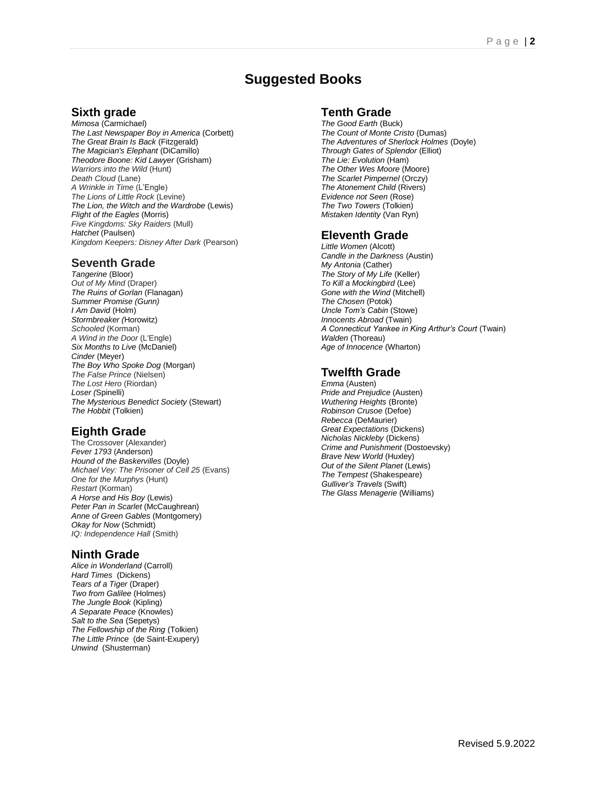# **Suggested Books**

#### **Sixth grade**

*Mimosa* (Carmichael) *The Last Newspaper Boy in America* (Corbett) *The Great Brain Is Back* (Fitzgerald) *The Magician's Elephant* (DiCamillo) *Theodore Boone: Kid Lawyer* (Grisham) *Warriors into the Wild* (Hunt) *Death Cloud* (Lane) *A Wrinkle in Time* (L'Engle) *The Lions of Little Rock* (Levine) *The Lion, the Witch and the Wardrobe* (Lewis) *Flight of the Eagles* (Morris) *Five Kingdoms: Sky Raiders* (Mull) *Hatchet* (Paulsen) *Kingdom Keepers: Disney After Dark* (Pearson)

#### **Seventh Grade**

*Tangerine* (Bloor) *Out of My Mind* (Draper) *The Ruins of Gorlan* (Flanagan) *Summer Promise (Gunn) I Am David* (Holm) *Stormbreaker (*Horowitz) *Schooled* (Korman) *A Wind in the Door* (L'Engle) *Six Months to Live* (McDaniel) *Cinder* (Meyer) *The Boy Who Spoke Dog* (Morgan) *The False Prince* (Nielsen) *The Lost Hero* (Riordan) *Loser (*Spinelli) *The Mysterious Benedict Society* (Stewart) *The Hobbit* (Tolkien)

### **Eighth Grade**

The Crossover (Alexander) *Fever 1793* (Anderson) *Hound of the Baskervilles* (Doyle) *Michael Vey: The Prisoner of Cell 25* (Evans) *One for the Murphys* (Hunt) *Restart* (Korman) *A Horse and His Boy* (Lewis) *Peter Pan in Scarlet* (McCaughrean) *Anne of Green Gables* (Montgomery) *Okay for Now* (Schmidt) *IQ: Independence Hall* (Smith)

#### **Ninth Grade**

*Alice in Wonderland* (Carroll) *Hard Times* (Dickens) *Tears of a Tiger* (Draper) *Two from Galilee* (Holmes) *The Jungle Book* (Kipling) *A Separate Peace* (Knowles) *Salt to the Sea* (Sepetys) *The Fellowship of the Ring* (Tolkien) *The Little Prince* (de Saint-Exupery) *Unwind* (Shusterman)

#### **Tenth Grade**

*The Good Earth* (Buck) *The Count of Monte Cristo* (Dumas) *The Adventures of Sherlock Holmes* (Doyle) *Through Gates of Splendor* (Elliot) *The Lie: Evolution* (Ham) *The Other Wes Moore* (Moore) *The Scarlet Pimpernel* (Orczy) *The Atonement Child* (Rivers) *Evidence not Seen* (Rose) *The Two Towers* (Tolkien) *Mistaken Identity* (Van Ryn)

#### **Eleventh Grade**

*Little Women* (Alcott) *Candle in the Darkness* (Austin) *My Antonia* (Cather) *The Story of My Life* (Keller) *To Kill a Mockingbird* (Lee) *Gone with the Wind* (Mitchell) *The Chosen* (Potok) *Uncle Tom's Cabin* (Stowe) *Innocents Abroad* (Twain) *A Connecticut Yankee in King Arthur's Court* (Twain) *Walden* (Thoreau) *Age of Innocence* (Wharton)

### **Twelfth Grade**

*Emma* (Austen) *Pride and Prejudice* (Austen) *Wuthering Heights* (Bronte) *Robinson Crusoe* (Defoe) *Rebecca* (DeMaurier) *Great Expectations* (Dickens) *Nicholas Nickleby* (Dickens) *Crime and Punishment* (Dostoevsky) *Brave New World* (Huxley) *Out of the Silent Planet* (Lewis) *The Tempest* (Shakespeare) *Gulliver's Travels* (Swift) *The Glass Menagerie* (Williams)